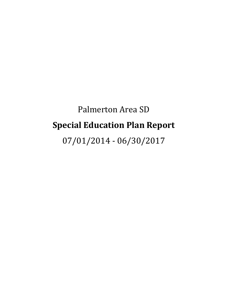# Palmerton Area SD **Special Education Plan Report**

07/01/2014 - 06/30/2017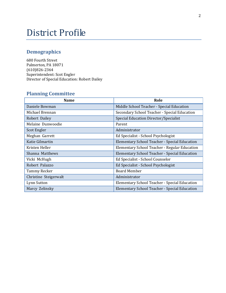## District Profile

## **Demographics**

680 Fourth Street Palmerton, PA 18071 (610)826-2364 Superintendent: Scot Engler Director of Special Education: Robert Dailey

## **Planning Committee**

| <b>Name</b>           | Role                                          |
|-----------------------|-----------------------------------------------|
| Daniele Bowman        | Middle School Teacher - Special Education     |
| Michael Brennan       | Secondary School Teacher - Special Education  |
| Robert Dailey         | Special Education Director/Specialist         |
| Melaine Dunwoodie     | Parent                                        |
| Scot Engler           | Administrator                                 |
| Meghan Garrett        | Ed Specialist - School Psychologist           |
| Katie Gilmartin       | Elementary School Teacher - Special Education |
| Kristen Heller        | Elementary School Teacher - Regular Education |
| Shanna Matthews       | Elementary School Teacher - Special Education |
| Vicki McHugh          | Ed Specialist - School Counselor              |
| Robert Palazzo        | Ed Specialist - School Psychologist           |
| <b>Tammy Recker</b>   | <b>Board Member</b>                           |
| Christine Steigerwalt | Administrator                                 |
| Lynn Sutton           | Elementary School Teacher - Special Education |
| Marcy Zelinsky        | Elementary School Teacher - Special Education |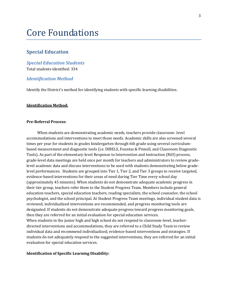## Core Foundations

#### **Special Education**

*Special Education Students* Total students identified: 334

#### *Identification Method*

Identify the District's method for identifying students with specific learning disabilities.

#### **Identification Method:**

#### **Pre-Referral Process:**

 When students are demonstrating academic needs, teachers provide classroom- level accommodations and interventions to meet those needs. Academic skills are also screened several times per year for students in grades kindergarten through 6th grade using several curriculumbased measurement and diagnostic tools (i.e. DIBELS, Fountas & Pinnell, and Classroom Diagnostic Tools). As part of the elementary-level Response to Intervention and Instruction (RtII) process, grade-level data meetings are held once per month for teachers and administrators to review gradelevel academic data and discuss interventions to be used with students demonstrating below gradelevel performances. Students are grouped into Tier 1, Tier 2, and Tier 3 groups to receive targeted, evidence-based interventions for their areas of need during Tier Time every school day (approximately 45 minutes). When students do not demonstrate adequate academic progress in their tier group, teachers refer them to the Student Progress Team. Members include general education teachers, special education teachers, reading specialists, the school counselor, the school psychologist, and the school principal. At Student Progress Team meetings, individual student data is reviewed, individualized interventions are recommended, and progress monitoring tools are designated. If students do not demonstrate adequate progress toward progress monitoring goals, then they are referred for an initial evaluation for special education services. When students in the junior high and high school do not respond to classroom-level, teacherdirected interventions and accommodations, they are referred to a Child Study Team to review individual data and recommend individualized, evidence-based interventions and strategies. If students do not adequately respond to the suggested interventions, they are referred for an initial

#### **Identification of Specific Learning Disability:**

evaluation for special education services.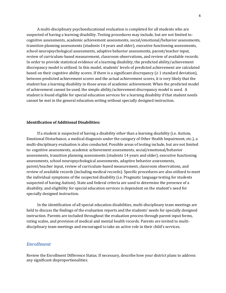A multi-disciplinary psychoeducational evaluation is completed for all students who are suspected of having a learning disability. Testing procedures may include, but are not limited to: cognitive assessments, academic achievement assessments, social/emotional/behavior assessments, transition planning assessments (students 14 years and older), executive functioning assessments, school neuropsychological assessments, adaptive behavior assessments, parent/teacher input, review of curriculum-based measurement, classroom observations, and review of available records. In order to provide statistical evidence of a learning disability, the predicted ability/achievement discrepancy model is utilized. In this model, students' levels of predicted achievement are calculated based on their cognitive ability scores. If there is a significant discrepancy ( $\geq 1$  standard deviation), between predicted achievement scores and the actual achievement scores, it is very likely that the student has a learning disability in those areas of academic achievement. When the predicted model of achievement cannot be used, the simple ability/achievement discrepancy model is used. A student is found eligible for special education services for a learning disability if that student needs cannot be met in the general education setting without specially designed instruction.

#### **Identification of Additional Disabilities:**

 If a student is suspected of having a disability other than a learning disability (i.e. Autism, Emotional Disturbance, a medical diagnosis under the category of Other Health Impairment, etc.), a multi-disciplinary evaluation is also conducted. Possible areas of testing include, but are not limited to: cognitive assessments, academic achievement assessments, social/emotional/behavior assessments, transition planning assessments (students 14 years and older), executive functioning assessments, school neuropsychological assessments, adaptive behavior assessments, parent/teacher input, review of curriculum-based measurement, classroom observations, and review of available records (including medical records). Specific procedures are also utilized to meet the individual symptoms of the suspected disability (i.e. Pragmatic language testing for students suspected of having Autism). State and federal criteria are used to determine the presence of a disability, and eligibility for special education services is dependent on the student's need for specially designed instruction.

 In the identification of all special education disabilities, multi-disciplinary team meetings are held to discuss the findings of the evaluation reports and the students' needs for specially designed instruction. Parents are included throughout the evaluation process through parent input forms, rating scales, and provision of medical and mental health records. Parents are invited to multidisciplinary team meetings and encouraged to take an active role in their child's services.

#### *Enrollment*

Review the Enrollment Difference Status. If necessary, describe how your district plans to address any significant disproportionalities.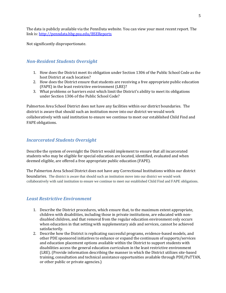The data is publicly available via the PennData website. You can view your most recent report. The link is[: http://penndata.hbg.psu.edu/BSEReports](http://penndata.hbg.psu.edu/BSEReports)

Not significantly disproportionate.

#### *Non-Resident Students Oversight*

- 1. How does the District meet its obligation under Section 1306 of the Public School Code as the host District at each location?
- 2. How does the District ensure that students are receiving a free appropriate public education (FAPE) in the least restrictive environment (LRE)?
- 3. What problems or barriers exist which limit the District's ability to meet its obligations under Section 1306 of the Public School Code?

Palmerton Area School District does not have any facilities within our district boundaries. The district is aware that should such an institution move into our district we would work collaboratively with said institution to ensure we continue to meet our established Child Find and FAPE obligations.

#### *Incarcerated Students Oversight*

Describe the system of oversight the District would implement to ensure that all incarcerated students who may be eligible for special education are located, identified, evaluated and when deemed eligible, are offered a free appropriate public education (FAPE).

The Palmerton Area School District does not have any Correctional Institutions within our district boundaries. The district is aware that should such an institution move into our district we would work collaboratively with said institution to ensure we continue to meet our established Child Find and FAPE obligations.

#### *Least Restrictive Environment*

- 1. Describe the District procedures, which ensure that, to the maximum extent appropriate, children with disabilities, including those in private institutions, are educated with nondisabled children, and that removal from the regular education environment only occurs when education in that setting with supplementary aids and services, cannot be achieved satisfactorily.
- 2. Describe how the District is replicating successful programs, evidence-based models, and other PDE sponsored initiatives to enhance or expand the continuum of supports/services and education placement options available within the District to support students with disabilities access the general education curriculum in the least restrictive environment (LRE). (Provide information describing the manner in which the District utilizes site-based training, consultation and technical assistance opportunities available through PDE/PaTTAN, or other public or private agencies.)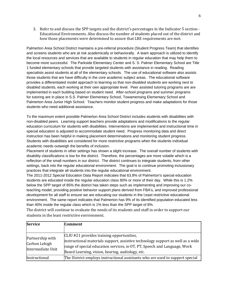3. Refer to and discuss the SPP targets and the district's percentages in the Indicator 5 section - Educational Environments. Also discuss the number of students placed out of the district and how those placements were determined to assure that LRE requirements are met.

Palmerton Area School District maintains a pre-referral procedure (Student Progress Team) that identifies and screens students who are at risk academically or behaviorally. A team approach is utilized to identify the local resources and services that are available to students in regular education that may help them to become more successful. The Parkside Elementary Center and S. S. Palmer Elementary School are Title 1 funded elementary schools that provide targeted students with assistance in reading. Reading specialists assist students at all of the elementary schools. The use of educational software also assists those students that are have difficulty in the core academic subject areas. The educational software provides a differentiated model approach to learning so that non-disabled students are working next to disabled students, each working at their own appropriate level. Peer assisted tutoring programs are are implemented in each building based on student need. After-school programs and summer programs for tutoring are in place in S.S. Palmer Elementary School, Towamensing Elementary School and Palmerton Area Junior High School. Teachers monitor student progress and make adaptations for those students who need additional assistance.

To the maximum extent possible Palmerton Area School District includes students with disabilities with non-disabled peers. Learning support teachers provide adaptations and modifications to the regular education curriculum for students with disabilities. Interventions are implemented and instructional time in special education is adjusted to accommodate student need. Progress monitoring data and direct instruction has been helpful in making placement determinations and monitoring student progress. Students with disabilities are considered for more restrictive programs when the students individual academic needs outweigh the benefits of inclusion.

Placement of students in other settings has shown a slight increase. The overall number of students with disability classifications is low for the district. Therefore, the percentages are more volatile which is a reflection of the small numbers in our district. The district continues to integrate students, from other settings, back into the regular educational environment. The goal is to continue promoting inclusionary practices that integrate all students into the regular educational environment.

The 2011-2012 Special Education Data Report indicates that 63.8% of Palmerton's special education students are educated inside the regular education class 80% or more of their day. While this is 1.2% below the SPP target of 85% the district has taken steps such as implementing and improving our coteaching model, providing positive behavior support plans derived from FBA's, and improved professional development for all staff to ensure we are educating our students in the l;east restrictive educational environment. The same report indicates that Palmerton has 9% of its identified population educated less than 40% inside the regular class which is 1% less than the SPP target of 8%.

The district will continue to evaluate the needs of its students and staff in order to support our students in the least restrictive environment.

| <b>Service</b>                                         | <b>Comment</b>                                                                                                                                                                                                                                                |
|--------------------------------------------------------|---------------------------------------------------------------------------------------------------------------------------------------------------------------------------------------------------------------------------------------------------------------|
|                                                        |                                                                                                                                                                                                                                                               |
| Partnership with<br>Carbon Lehigh<br>Intermediate Unit | CLIU #21 provides training opportunities,<br>instructional materials support, assistive technology support as well as a wide<br>range of special education services, ie OT, PT, Speech and Language, Work<br>Based Learning, vision, hearing, audiology, etc. |
| Instructional                                          | The District employs instructional assistants who are used to support special                                                                                                                                                                                 |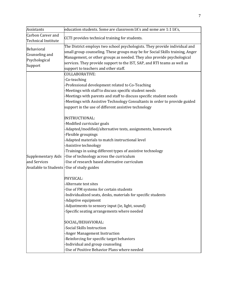| <b>Assistants</b>                                                               | education students. Some are classroom IA's and some are 1:1 IA's,                                                                                                                                                                                                                                                                                                     |
|---------------------------------------------------------------------------------|------------------------------------------------------------------------------------------------------------------------------------------------------------------------------------------------------------------------------------------------------------------------------------------------------------------------------------------------------------------------|
| Carbon Career and                                                               |                                                                                                                                                                                                                                                                                                                                                                        |
| Technical Institute                                                             | CCTI provides technical training for students.                                                                                                                                                                                                                                                                                                                         |
| Behavioral<br>Counseling and<br>Psychological<br>Support                        | The District employs two school psychologists. They provide individual and<br>small group counseling. These groups may be for Social Skills training, Anger<br>Management, or other groups as needed. They also provide psychological<br>services. They provide support to the IST, SAP, and RTI teams as well as<br>support to teachers and other staff.              |
|                                                                                 | COLLABORATIVE:<br>-Co-teaching<br>Professional development related to Co-Teaching<br>Meetings with staff to discuss specific student needs<br>Meetings with parents and staff to discuss specific student needs<br>Meetings with Assistive Technology Consultants in order to provide guided<br>support in the use of different assistive technology                   |
| Supplementary Aids<br>and Services<br>Available to Students-Use of study guides | INSTRUCTIONAL:<br>Modified curricular goals<br>Adapted/modified/alternative tests, assignments, homework<br>-Flexible groupings<br>Adapted materials to match instructional level<br>-Assistive technology<br>-Trainings in using different types of assistive technology<br>-Use of technology across the curriculum<br>-Use of research based alternative curriculum |
|                                                                                 | PHYSICAL:<br>-Alternate test sites<br>-Use of FM systems for certain students<br>Individualized seats, desks, materials for specific students<br>Adaptive equipment<br>Adjustments to sensory input (ie, light, sound)<br>Specific seating arrangements where needed                                                                                                   |
|                                                                                 | SOCIAL/BEHAVIORAL:<br><b>Social Skills Instruction</b><br>-Anger Management Instruction<br>-Reinforcing for specific target behaviors<br>Individual and group counseling<br>Use of Positive Behavior Plans where needed                                                                                                                                                |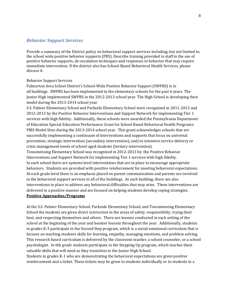#### *Behavior Support Services*

Provide a summary of the District policy on behavioral support services including, but not limited to, the school wide positive behavior supports (PBS). Describe training provided to staff in the use of positive behavior supports, de-escalation techniques and responses to behavior that may require immediate intervention. If the district also has School-Based Behavioral Health Services, please discuss it.

#### Behavior Support Services

Palmerton Area School District's School-Wide Positive Behavior Support (SWPBS) is in all buildings. SWPBS has been implemented in the elementary schools for the past 6 years. The Junior High implemented SWPBS in the 2012-2013 school year. The High School is developing their model during the 2013-2014 school year.

S.S. Palmer Elementary School and Parkside Elementary School were recognized in 2011-2012 and 2012-2013 by the Positive Behavior Interventions and Support Network for implementing Tier 1 services with high fidelity. Additionally, these schools were awarded the Pennsylvania Department of Education Special Education Performance Grant for School Based Behavioral Health Programs: PBIS Model Sites during the 2013-2014 school year. This grant acknowledges schools that are successfully implementing a continuum of interventions and supports that focus on universal prevention, strategic intervention (secondary intervention), and/or intensive service delivery or crisis management needs of school-aged students (tertiary intervention).

Towamensing Elementary School was recognized in 2012-2013 by the Positive Behavior Interventions and Support Network for implementing Tier 1 services with high fidelity. In each school there are systems level interventions that are in place to encourage appropriate behaviors. Students are provided with positive reinforcement for meeting behavioral expectations. At each grade level there is an emphasis placed on parent communication and parents are involved in the behavioral support services in all of the buildings. At each building, there are also interventions in place to address any behavioral difficulties that may arise. These interventions are delivered in a positive manner and are focused on helping students develop coping strategies. **Positive Approaches/Programs**

At the S.S. Palmer Elementary School, Parkside Elementary School, and Towamensing Elementary School the students are given direct instruction in the areas of safety, responsibility, trying their best, and respecting themselves and others. There are lessons conducted in each setting of the school at the beginning of the year and booster lessons throughout the year. Additionally, students in grades K-3 participate in the Second Step program, which is a social-emotional curriculum that is focuses on teaching students skills for learning, empathy, managing emotions, and problem solving. This research based curriculum is delivered by the classroom teacher, a school counselor, or a school psychologist. In 6th grade students participate in the Stepping Up program, which teaches them valuable skills that will need as they transition to the Junior High School.

Students in grades K-1 who are demonstrating the behavioral expectations are given positive reinforcement and a ticket. These tickets may be given to students individually or to students in a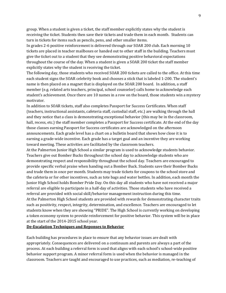group. When a student is given a ticket, the staff member explicitly states why the student is receiving the ticket. Students then save their tickets and trade them in each month. Students can turn in tickets for items such as pencils, pens, and other smaller items.

In grades 2-6 positive reinforcement is delivered through our SOAR 200 club. Each morning 10 tickets are placed in teacher mailboxes or handed out to other staff in the building. Teachers must give the ticket out to a student that they see demonstrating positive behavioral expectations throughout the course of the day. When a student is given a SOAR 200 ticket the staff member explicitly states why the student is receiving the ticket.

The following day, those students who received SOAR 200 tickets are called to the office. At this time each student signs the SOAR celebrity book and chooses a stick that is labeled 1-200. The student's name is then placed on a magnet that is displayed on the SOAR 200 board. In addition, a staff member (e.g. related arts teachers, principal, school counselor) calls home to acknowledge each student's achievement. Once there are 10 names in a row on the board, those students win a mystery motivator.

In addition to SOAR tickets, staff also completes Passport for Success Certificates. When staff (teachers, instructional assistants, cafeteria staff, custodial staff, etc.) are walking through the hall and they notice that a class is demonstrating exceptional behavior (this may be in the classroom, hall, recess, etc.) the staff member completes a Passport for Success certificate. At the end of the day those classes earning Passport for Success certificates are acknowledged on the afternoon announcements. Each grade level has a chart on a bulletin board that shows how close it is to earning a grade-wide incentive. Each grade has a target goal and an incentive they are working toward meeting. These activities are facilitated by the classroom teachers.

At the Palmerton Junior High School a similar program is used to acknowledge students behavior. Teachers give out Bomber Bucks throughout the school day to acknowledge students who are demonstrating respect and responsibility throughout the school day. Teachers are encouraged to provide specific verbal praise when handing out a Bomber Buck. Students save their Bomber Bucks and trade them in once per month. Students may trade tickets for coupons to the school store and the cafeteria or for other incentives, such as tote bags and water bottles. In addition, each month the Junior High School holds Bomber Pride Day. On this day all students who have not received a major referral are eligible to participate in a half-day of activities. Those students who have received a referral are provided with social skill/behavior management instruction during this time. At the Palmerton High School students are provided with rewards for demonstrating character traits such as positivity, respect, integrity, determination, and excellence. Teachers are encouraged to let students know when they are showing "PRIDE". The High School is currently working on developing a token economy system to provide reinforcement for positive behavior. This system will be in place at the start of the 2014-2015 school year.

#### **De-Escalation Techniques and Reponses to Behavior**

Each building has procedures in place to ensure that any behavior issues are dealt with appropriately. Consequences are delivered on a continuum and parents are always a part of the process. At each building a referral form is used that aligns with each school's school-wide positive behavior support program. A minor referral form is used when the behavior is managed in the classroom. Teachers are taught and encouraged to use practices, such as mediation, re-teaching of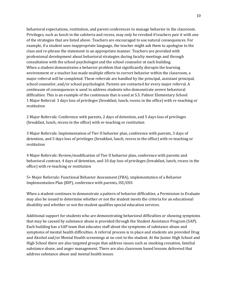behavioral expectations, restitution, and parent conferences to manage behavior in the classroom. Privileges, such as lunch in the cafeteria and recess, may only be revoked if teachers pair it with one of the strategies that are listed above. Teachers are encouraged to use natural consequences. For example, if a student uses inappropriate language, the teacher might ask them to apologize to the class and re-phrase the statement in an appropriate manner. Teachers are provided with professional development about behavioral strategies during faculty meetings and through consultation with the school psychologist and the school counselor at each building. When a student demonstrates a behavior problem that significantly disrupts the learning environment or a teacher has made multiple efforts to correct behavior within the classroom, a major referral will be completed. These referrals are handled by the principal, assistant principal, school counselor, and/or school psychologist. Parents are contacted for every major referral. A continuum of consequences is used to address students who demonstrate severe behavioral difficulties. This is an example of the continuum that is used at S.S. Palmer Elementary School: 1 Major Referral: 3 days loss of privileges (breakfast, lunch, recess in the office) with re-teaching or restitution

2 Major Referrals: Conference with parents, 2 days of detention, and 5 days loss of privileges (breakfast, lunch, recess in the office) with re-teaching or restitution

3 Major Referrals: Implementation of Tier II behavior plan, conference with parents, 3 days of detention, and 5 days loss of privileges (breakfast, lunch, recess in the office) with re-teaching or restitution

4 Major Referrals: Review/modification of Tier II behavior plan, conference with parents and behavioral contract, 4 days of detention, and 10 day loss of privileges (breakfast, lunch, recess in the office) with re-teaching or restitution

5+ Major Referrals: Functional Behavior Assessment (FBA), implementation of a Behavior Implementation Plan (BIP), conference with parents, ISS/OSS

When a student continues to demonstrate a pattern of behavior difficulties, a Permission to Evaluate may also be issued to determine whether or not the student meets the criteria for an educational disability and whether or not the student qualifies special education services.

Additional support for students who are demonstrating behavioral difficulties or showing symptoms that may be caused by substance abuse is provided through the Student Assistance Program (SAP). Each building has a SAP team that educates staff about the symptoms of substance abuse and symptoms of mental health difficulties. A referral process is in place and students are provided Drug and Alcohol and/or Mental Health screenings at no cost to the student. At the Junior High School and High School there are also targeted groups that address issues such as smoking cessation, familial substance abuse, and anger management. There are also classroom based lessons delivered that address substance abuse and mental health issues.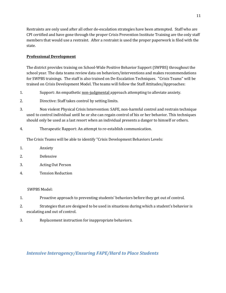Restraints are only used after all other de-escalation strategies have been attempted. Staff who are CPI certified and have gone through the proper Crisis Prevention Institute Training are the only staff members that would use a restraint. After a restraint is used the proper paperwork is filed with the state.

#### **Professional Development**

The district provides training on School-Wide Positive Behavior Support (SWPBS) throughout the school year. The data teams review data on behaviors/interventions and makes recommendations for SWPBS trainings. The staff is also trained on De-Escalation Techniques. "Crisis Teams" will be trained on Crisis Development Model. The teams will follow the Staff Attitudes/Approaches:

- 1. Support: An empathetic non-judgmental approach attempting to alleviate anxiety.
- 2. Directive: Staff takes control by setting limits.
- 3. Non violent Physical Crisis Intervention: SAFE, non-harmful control and restrain technique used to control individual until he or she can regain control of his or her behavior. This techniques should only be used as a last resort when an individual presents a danger to himself or others.
- 4. Therapeutic Rapport: An attempt to re-establish communication.

The Crisis Teams will be able to identify "Crisis Development Behaviors Levels:

- 1. Anxiety
- 2. Defensive
- 3. Acting Out Person
- 4. Tension Reduction

#### SWPBS Model:

- 1. Proactive approach to preventing students' behaviors before they get out of control.
- 2. Strategies that are designed to be used in situations during which a student's behavior is escalating and out of control.
- 3. Replacement instruction for inappropriate behaviors.

#### *Intensive Interagency/Ensuring FAPE/Hard to Place Students*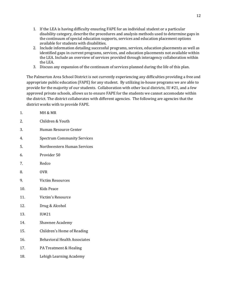- 1. If the LEA is having difficulty ensuring FAPE for an individual student or a particular disability category, describe the procedures and analysis methods used to determine gaps in the continuum of special education supports, services and education placement options available for students with disabilities.
- 2. Include information detailing successful programs, services, education placements as well as identified gaps in current programs, services, and education placements not available within the LEA. Include an overview of services provided through interagency collaboration within the LEA.
- 3. Discuss any expansion of the continuum of services planned during the life of this plan.

The Palmerton Area School District is not currently experiencing any difficulties providing a free and appropriate public education (FAPE) for any student. By utilizing in-house programs we are able to provide for the majority of our students. Collaboration with other local districts, IU #21, and a few approved private schools, allows us to ensure FAPE for the students we cannot accomodate within the district. The district collaborates with different agencies. The following are agencies that the district works with to provide FAPE.

| ī.  | MI QIMK                             |
|-----|-------------------------------------|
| 2.  | Children & Youth                    |
| 3.  | Human Resource Center               |
| 4.  | <b>Spectrum Community Services</b>  |
| 5.  | Northwestern Human Services         |
| 6.  | Provider 50                         |
| 7.  | Redco                               |
| 8.  | <b>OVR</b>                          |
| 9.  | <b>Victim Resources</b>             |
| 10. | Kids Peace                          |
| 11. | Victim's Resource                   |
| 12. | Drug & Alcohol                      |
| 13. | IU#21                               |
| 14. | Shawnee Academy                     |
| 15. | Children's Home of Reading          |
| 16. | <b>Behavioral Health Associates</b> |
| 17. | PA Treatment & Healing              |
| 18. | Lehigh Learning Academy             |

1 MH & MP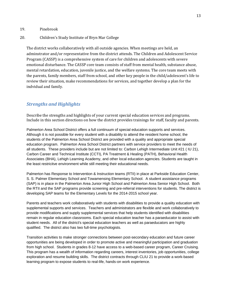#### 19. Pinebrook

#### 20. Children's Study Institute of Bryn Mar College

The district works collaboratively with all outside agencies. When meetings are held, an adminstrator and/or representative from the district attends. The Children and Adolescent Service Program (CASSP) is a comprehensive system of care for children and adolescents with severe emotional disturbance. The CASSP core team consists of staff from mental health, substance abuse, mental retardation, education, juvenile justice, and the welfare systems. The core team meets with the parents, family members, staff from school, and other key people in the child/adolescent's life to review their situation, make recommendations for services, and together develop a plan for the indvidual and family.

#### *Strengths and Highlights*

Describe the strengths and highlights of your current special education services and programs. Include in this section directions on how the district provides trainings for staff, faculty and parents.

Palmerton Area School District offers a full continuum of special education supports and services. Although it is not possible for every student with a disability to attend the resident home school, the students of the Palmerton Area School District are provided with a quality and appropriate special education program. Palmerton Area School District partners with service providers to meet the needs of all students. These providers include but are not limited to: Carbon Lehigh Intermediate Unit #21 ( IU 21), Carbon Career and Technical Institute (CCTI), PA Treatment & Healing (PATH), Behavioral Health Associates (BHA), Lehigh Learning Academy, and other local education agencies. Students are taught in the least restricitve environment while still meeting their educational needs.

Palmerton has Response to Intervention & Instruction teams (RTII) in place at Parkside Education Center, S. S. Palmer Elementary School and Towamensing Elementary School. A student assistance programs (SAP) is in place in the Palmerton Area Junior High School and Palmerton Area Senior High School. Both the RTII and the SAP programs provide screening and pre-referral interventions for students. The district is developing SAP teams for the Elementary Levels for the 2014-2015 school year.

Parents and teachers work collaboratively with students with disabilities to provide a quality education with supplemental supports and services. Teachers and administrators are flexible and work collaboratively to provide modifications and supply supplemental services that help students identified with disabilities remain in regular education classrooms. Each special education teacher has a paraeducator to assist with student needs. All of the district's special education teachers as well as paraeducators are highly qualified. The district also has two full-time psychologists.

Transition activities to make stronger connections between post-secondary education and future career opportunities are being developed in order to promote active and meaningful participation and graduation from high school. Students in grades 8-12 have access to a web-based career program, Career Cruising. This program has a wealth of information regarding careers, interest inventories, job opportunities, college exploration and resume building skills. The district contracts through CLIU 21 to provide a work-based learning program to expose students to real-life, hands-on work experience.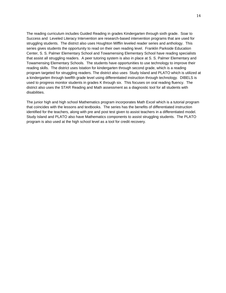The reading curriculum includes Guided Reading in grades Kindergarten through sixth grade. Soar to Success and Leveled Literacy Intervention are research-based intervention programs that are used for struggling students. The district also uses Houghton Mifflin leveled reader series and anthology. This series gives students the opportunity to read on their own reading level. Franklin Parkside Education Center, S. S. Palmer Elementary School and Towamensing Elementary School have reading specialists that assist all struggling readers. A peer tutoring system is also in place at S. S. Palmer Elementary and Towamensing Elementary Schools. The students have opportunities to use technology to improve their reading skills. The district uses Istation for kindergarten through second grade, which is a reading program targeted for struggling readers. The district also uses Study Island and PLATO which is utilized at a kindergarten through twelfth grade level using differentiated instruction through technology. DIBELS is used to progress monitor students in grades K through six. This focuses on oral reading fluency. The district also uses the STAR Reading and Math assessment as a diagnostic tool for all students with disabilities.

The junior high and high school Mathematics program incorporates Math Excel which is a tutorial program that coincides with the lessons and textbooks. The series has the benefits of differentiated instruction identified for the teachers, along with pre and post test given to assist teachers in a differentiated model. Study Island and PLATO also have Mathematics components to assist struggling students. The PLATO program is also used at the high school level as a tool for credit recovery.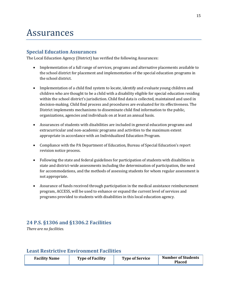## Assurances

### **Special Education Assurances**

The Local Education Agency (District) has verified the following Assurances:

- Implementation of a full range of services, programs and alternative placements available to the school district for placement and implementation of the special education programs in the school district.
- Implementation of a child find system to locate, identify and evaluate young children and children who are thought to be a child with a disability eligible for special education residing within the school district's jurisdiction. Child find data is collected, maintained and used in decision-making. Child find process and procedures are evaluated for its effectiveness. The District implements mechanisms to disseminate child find information to the public, organizations, agencies and individuals on at least an annual basis.
- Assurances of students with disabilities are included in general education programs and extracurricular and non-academic programs and activities to the maximum extent appropriate in accordance with an Individualized Education Program.
- Compliance with the PA Department of Education, Bureau of Special Education's report revision notice process.
- Following the state and federal guidelines for participation of students with disabilities in state and district-wide assessments including the determination of participation, the need for accommodations, and the methods of assessing students for whom regular assessment is not appropriate.
- Assurance of funds received through participation in the medical assistance reimbursement program, ACCESS, will be used to enhance or expand the current level of services and programs provided to students with disabilities in this local education agency.

### **24 P.S. §1306 and §1306.2 Facilities**

*There are no facilities.*

### **Least Restrictive Environment Facilities**

| <b>Facility Name</b> | <b>Type of Facility</b> | <b>Type of Service</b> | <b>Number of Students</b><br>Placed |
|----------------------|-------------------------|------------------------|-------------------------------------|
|----------------------|-------------------------|------------------------|-------------------------------------|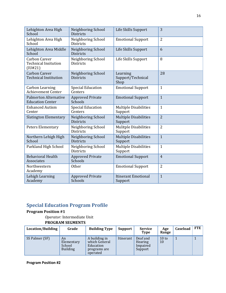| Lehighton Area High<br>School                                     | Neighboring School<br><b>Districts</b> | Life Skills Support                     | 3              |
|-------------------------------------------------------------------|----------------------------------------|-----------------------------------------|----------------|
| Lehighton Area High<br>School                                     | Neighboring School<br><b>Districts</b> | <b>Emotional Support</b>                | 2              |
| Lehighton Area Middle<br>School                                   | Neighboring School<br><b>Districts</b> | Life Skills Support                     | 6              |
| <b>Carbon Career</b><br><b>Technical Insitution</b><br>$($ IU#21) | Neighboring School<br><b>Districts</b> | Life Skills Support                     | 8              |
| <b>Carbon Career</b><br><b>Technical Institution</b>              | Neighboring School<br><b>Districts</b> | Learning<br>Support/Technical<br>Shop   | 28             |
| Carbon Learning<br><b>Achievement Center</b>                      | <b>Special Education</b><br>Centers    | <b>Emotional Support</b>                | $\mathbf{1}$   |
| <b>Palmerton Alternative</b><br><b>Education Center</b>           | <b>Approved Private</b><br>Schools     | <b>Emotional Support</b>                | $\mathbf{1}$   |
| <b>Enhanced Autism</b><br>Center                                  | <b>Special Education</b><br>Centers    | <b>Multiple Disabilities</b><br>Support | $\mathbf{1}$   |
| <b>Slatington Elementary</b>                                      | Neighboring School<br><b>Districts</b> | <b>Multiple Disabilities</b><br>Support | $\overline{2}$ |
| <b>Peters Elementary</b>                                          | Neighboring School<br><b>Districts</b> | <b>Mulitple Disabilities</b><br>Support | $\overline{2}$ |
| Northern Lehigh High<br>School                                    | Neighboring School<br><b>Districts</b> | <b>Multiple Disabilities</b><br>Support | $\overline{1}$ |
| Parkland High School                                              | Neighboring School<br><b>Districts</b> | <b>Multiple Disabilities</b><br>Support | $\mathbf{1}$   |
| <b>Behavioral Health</b><br>Associates                            | <b>Approved Private</b><br>Schools     | <b>Emotional Support</b>                | $\overline{4}$ |
| Northwestern<br>Academy                                           | <b>Other</b>                           | <b>Emotional Support</b>                | 2              |
| Lehigh Learning<br>Academy                                        | <b>Approved Private</b><br>Schools     | <b>Itinerant Emotional</b><br>Support   | $\mathbf{1}$   |

## **Special Education Program Profile**

#### **Program Position #1**

*Operator:* Intermediate Unit

#### **PROGRAM SEGMENTS**

| Location/Building | Grade                                         | <b>Building Type</b>                                                    | <b>Support</b> | <b>Service</b><br><b>Type</b>              | Age<br>Range  | Caseload | FTE |
|-------------------|-----------------------------------------------|-------------------------------------------------------------------------|----------------|--------------------------------------------|---------------|----------|-----|
| SS Palmer (SF)    | An<br>Elementary<br>School<br><b>Building</b> | A building in<br>which General<br>Education<br>programs are<br>operated | Itinerant      | Deaf and<br>Hearing<br>Impaired<br>Support | $10$ to<br>10 |          |     |

**Program Position #2**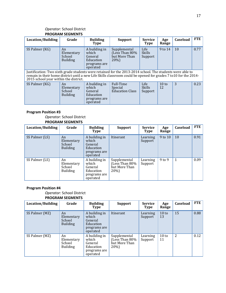#### *Operator:* School District **PROGRAM SEGMENTS**

| Location/Building                                                                                                                                                                                                                                                      | Grade                                         | <b>Building</b><br><b>Type</b>                                             | <b>Support</b>                                            | Service<br><b>Type</b>           | Age<br>Range          | Caseload | <b>FTE</b> |
|------------------------------------------------------------------------------------------------------------------------------------------------------------------------------------------------------------------------------------------------------------------------|-----------------------------------------------|----------------------------------------------------------------------------|-----------------------------------------------------------|----------------------------------|-----------------------|----------|------------|
| SS Palmer (KG)                                                                                                                                                                                                                                                         | An<br>Elementary<br>School<br><b>Building</b> | A building in<br>which<br>General<br>Education<br>programs are<br>operated | Supplemental<br>(Less Than 80%<br>but More Than<br>$20\%$ | Life<br><b>Skills</b><br>Support | 9 to 14               | 10       | 0.77       |
| Justification: Two sixth grade students were retained for the 2013-2014 school. The students were able to<br>remain in their home district until a new Life Skills classroom could be opened for grades 7 to 10 for the 2014-<br>2015 school year within the district. |                                               |                                                                            |                                                           |                                  |                       |          |            |
| SS Palmer (KG)                                                                                                                                                                                                                                                         | An<br>Elementary<br>School<br><b>Building</b> | A building in<br>which<br>General<br>Education<br>programs are<br>operated | Full-Time<br>Special<br><b>Education Class</b>            | Life<br><b>Skills</b><br>Support | $10 \text{ to}$<br>12 | 3        | 0.23       |

#### **Program Position #3**

#### *Operator:* School District **PROGRAM SEGMENTS**

| Location/Building | Grade                                         | <b>Building</b><br>Type                                                    | <b>Support</b>                                          | <b>Service</b><br><b>Type</b> | Age<br>Range | <b>Caseload</b> | <b>FTE</b> |
|-------------------|-----------------------------------------------|----------------------------------------------------------------------------|---------------------------------------------------------|-------------------------------|--------------|-----------------|------------|
| SS Palmer (LS)    | An<br>Elementary<br>School<br><b>Building</b> | A building in<br>which<br>General<br>Education<br>programs are<br>operated | Itinerant                                               | Learning<br>Support           | 9 to 10      | 10              | 0.91       |
| SS Palmer (LS)    | An<br>Elementary<br>School<br><b>Building</b> | A building in<br>which<br>General<br>Education<br>programs are<br>operated | Supplemental<br>(Less Than 80%<br>but More Than<br>20%) | Learning<br>Support           | 9 to 9       | 1               | 0.09       |

#### **Program Position #4**

#### *Operator:* School District **PROGRAM SEGMENTS**

| Location/Building | Grade                                         | <b>Building</b><br>Type                                                    | <b>Support</b>                                          | <b>Service</b><br>Type | Age<br>Range           | Caseload | FTE  |
|-------------------|-----------------------------------------------|----------------------------------------------------------------------------|---------------------------------------------------------|------------------------|------------------------|----------|------|
| SS Palmer (MZ)    | An<br>Elementary<br>School<br><b>Building</b> | A building in<br>which<br>General<br>Education<br>programs are<br>operated | Itinerant                                               | Learning<br>Support    | 10 <sub>to</sub><br>13 | 15       | 0.88 |
| SS Palmer (MZ)    | An<br>Elementary<br>School<br><b>Building</b> | A building in<br>which<br>General<br>Education<br>programs are<br>operated | Supplemental<br>(Less Than 80%<br>but More Than<br>20%) | Learning<br>Support    | 10 to<br>11            | 2        | 0.12 |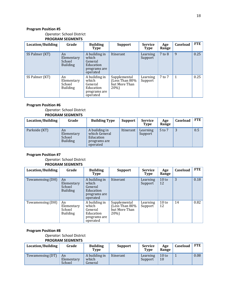#### *Operator:* School District **PROGRAM SEGMENTS**

| Location/Building | Grade                                         | <b>Building</b><br>Type                                                    | <b>Support</b>                                          | <b>Service</b><br><b>Type</b> | Age<br>Range | Caseload | <b>FTE</b> |
|-------------------|-----------------------------------------------|----------------------------------------------------------------------------|---------------------------------------------------------|-------------------------------|--------------|----------|------------|
| SS Palmer (KT)    | An<br>Elementary<br>School<br><b>Building</b> | A building in<br>which<br>General<br>Education<br>programs are<br>operated | Itinerant                                               | Learning<br>Support           | $7$ to $8$   | 9        | 0.25       |
| SS Palmer (KT)    | An<br>Elementary<br>School<br><b>Building</b> | A building in<br>which<br>General<br>Education<br>programs are<br>operated | Supplemental<br>(Less Than 80%<br>but More Than<br>20%) | Learning<br>Support           | 7 to 7       | 1        | 0.25       |

#### **Program Position #6**

#### *Operator:* School District **PROGRAM SEGMENTS**

| Location/Building | Grade                                         | <b>Building Type</b>                                                    | Support   | <b>Service</b><br><b>Type</b> | Age<br>Range | Caseload | <b>FTE</b> |
|-------------------|-----------------------------------------------|-------------------------------------------------------------------------|-----------|-------------------------------|--------------|----------|------------|
| Parkside (KT)     | An<br>Elementary<br>School<br><b>Building</b> | A building in<br>which General<br>Education<br>programs are<br>operated | Itinerant | Learning<br>Support           | 5 to 7       | 3        | 0.5        |

#### **Program Position #7**

#### *Operator:* School District **PROGRAM SEGMENTS**

| Location/Building | Grade                                         | <b>Building</b><br>Type                                                    | <b>Support</b>                                          | <b>Service</b><br><b>Type</b> | Age<br>Range  | Caseload | <b>FTE</b> |
|-------------------|-----------------------------------------------|----------------------------------------------------------------------------|---------------------------------------------------------|-------------------------------|---------------|----------|------------|
| Towamensing (DH)  | An<br>Elementary<br>School<br><b>Building</b> | A building in<br>which<br>General<br>Education<br>programs are<br>operated | Itinerant                                               | Learning<br>Support           | 10 to<br>12   | 3        | 0.18       |
| Towamensing (DH)  | An<br>Elementary<br>School<br><b>Building</b> | A building in<br>which<br>General<br>Education<br>programs are<br>operated | Supplemental<br>(Less Than 80%<br>but More Than<br>20%) | Learning<br>Support           | $10$ to<br>12 | 14       | 0.82       |

#### **Program Position #8**

#### *Operator:* School District **PROGRAM SEGMENTS**

| Location/Building | Grade                      | <b>Building</b><br>Type           | <b>Support</b> | <b>Service</b><br><b>Type</b> | Age<br>Range  | Caseload | FTE  |
|-------------------|----------------------------|-----------------------------------|----------------|-------------------------------|---------------|----------|------|
| Towamensing (DT)  | An<br>Elementary<br>School | A building in<br>which<br>General | Itinerant      | Learning<br>Support           | $10$ to<br>10 |          | 0.08 |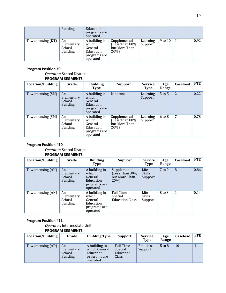|                  | <b>Building</b>                               | Education<br>programs are<br>operated                                      |                                                         |                     |         |    |      |
|------------------|-----------------------------------------------|----------------------------------------------------------------------------|---------------------------------------------------------|---------------------|---------|----|------|
| Towamensing (DT) | An<br>Elementary<br>School<br><b>Building</b> | A building in<br>which<br>General<br>Education<br>programs are<br>operated | Supplemental<br>(Less Than 80%<br>but More Than<br>20%) | Learning<br>Support | 9 to 10 | 11 | 0.92 |

#### *Operator:* School District **PROGRAM SEGMENTS**

| Location/Building | Grade                                         | <b>Building</b><br>Type                                                    | <b>Support</b>                                          | <b>Service</b><br><b>Type</b> | Age<br>Range | <b>Caseload</b> | <b>FTE</b> |
|-------------------|-----------------------------------------------|----------------------------------------------------------------------------|---------------------------------------------------------|-------------------------------|--------------|-----------------|------------|
| Towamensing (SM)  | An<br>Elementary<br>School<br><b>Building</b> | A building in<br>which<br>General<br>Education<br>programs are<br>operated | Itinerant                                               | Learning<br>Support           | $5$ to $5$   | 2               | 0.22       |
| Towamensing (SM)  | An<br>Elementary<br>School<br><b>Building</b> | A building in<br>which<br>General<br>Education<br>programs are<br>operated | Supplemental<br>(Less Than 80%<br>but More Than<br>20%) | Learning<br>Support           | $6$ to $8$   | 7               | 0.78       |

#### **Program Position #10**

*Operator:* School District **PROGRAM SEGMENTS**

| Location/Building | Grade                                         | <b>Building</b><br><b>Type</b>                                             | <b>Support</b>                                            | <b>Service</b><br>Type           | Age<br>Range | Caseload | <b>FTE</b> |
|-------------------|-----------------------------------------------|----------------------------------------------------------------------------|-----------------------------------------------------------|----------------------------------|--------------|----------|------------|
| Towamensing (AH)  | An<br>Elementary<br>School<br><b>Building</b> | A building in<br>which<br>General<br>Education<br>programs are<br>operated | Supplemental<br>(Less Than 80%<br>but More Than<br>$20\%$ | Life<br><b>Skills</b><br>Support | $7$ to 9     | 8        | 0.86       |
| Towamensing (AH)  | An<br>Elementary<br>School<br><b>Building</b> | A building in<br>which<br>General<br>Education<br>programs are<br>operated | Full-Time<br>Special<br><b>Education Class</b>            | Life<br><b>Skills</b><br>Support | 8 to 8       | 1        | 0.14       |

#### **Program Position #11**

*Operator:* Intermediate Unit **PROGRAM SEGMENTS**

|                   | FINOUNAIN JLUINLINTJ                          |                                                                         |                                            |                               |              |                 |            |
|-------------------|-----------------------------------------------|-------------------------------------------------------------------------|--------------------------------------------|-------------------------------|--------------|-----------------|------------|
| Location/Building | Grade                                         | <b>Building Type</b>                                                    | <b>Support</b>                             | <b>Service</b><br><b>Type</b> | Age<br>Range | <b>Caseload</b> | <b>FTE</b> |
| Towamensing (AD)  | An<br>Elementary<br>School<br><b>Building</b> | A building in<br>which General<br>Education<br>programs are<br>operated | Full-Time<br>Special<br>Education<br>Class | Emotional<br>Support          | $5$ to $8$   | 10              |            |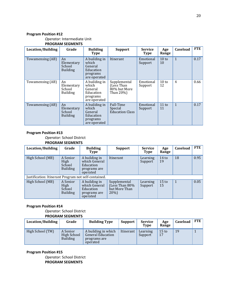*Operator:* Intermediate Unit

**PROGRAM SEGMENTS**

| Location/Building | Grade                                         | <b>Building</b><br><b>Type</b>                                             | <b>Support</b>                                          | <b>Service</b><br><b>Type</b> | Age<br>Range          | Caseload       | FTE  |
|-------------------|-----------------------------------------------|----------------------------------------------------------------------------|---------------------------------------------------------|-------------------------------|-----------------------|----------------|------|
| Towamensing (AB)  | An<br>Elementary<br>School<br><b>Building</b> | A building in<br>which<br>General<br>Education<br>programs<br>are operated | Itinerant                                               | Emotional<br>Support          | $10 \text{ to}$<br>10 | $\mathbf{1}$   | 0.17 |
| Towamensing (AB)  | An<br>Elementary<br>School<br><b>Building</b> | A building in<br>which<br>General<br>Education<br>programs<br>are operated | Supplemental<br>(Less Than<br>80% but More<br>Than 20%) | Emotional<br>Support          | $10 \text{ to}$<br>12 | $\overline{4}$ | 0.66 |
| Towamensing (AB)  | An<br>Elementary<br>School<br><b>Building</b> | A building in<br>which<br>General<br>Education<br>programs<br>are operated | Full-Time<br>Special<br><b>Education Class</b>          | Emotional<br>Support          | 11 to<br>11           | $\mathbf{1}$   | 0.17 |

#### **Program Position #13**

*Operator:* School District **PROGRAM SEGMENTS**

| Location/Building                                    | Grade                                         | <b>Building</b><br>Type                                                 | <b>Support</b>                                            | <b>Service</b><br><b>Type</b> | Age<br>Range           | Caseload     | FTE  |
|------------------------------------------------------|-----------------------------------------------|-------------------------------------------------------------------------|-----------------------------------------------------------|-------------------------------|------------------------|--------------|------|
| High School (MB)                                     | A Senior<br>High<br>School<br><b>Building</b> | A building in<br>which General<br>Education<br>programs are<br>operated | Itinerant                                                 | Learning<br>Support           | 14 <sub>to</sub><br>19 | 18           | 0.95 |
| Justification: Itinerant Program not self-contained. |                                               |                                                                         |                                                           |                               |                        |              |      |
| High School (MB)                                     | A Senior<br>High<br>School<br><b>Building</b> | A building in<br>which General<br>Education<br>programs are<br>operated | Supplemental<br>(Less Than 80%<br>but More Than<br>$20\%$ | Learning<br>Support           | 15 <sub>to</sub><br>15 | $\mathbf{1}$ | 0.05 |

#### **Program Position #14**

*Operator:* School District

#### **PROGRAM SEGMENTS**

| Location/Building | Grade                                      | <b>Building Type</b>                                                 | Support   | <b>Service</b><br><b>Type</b> | Age<br>Range           | Caseload | <b>FTE</b> |
|-------------------|--------------------------------------------|----------------------------------------------------------------------|-----------|-------------------------------|------------------------|----------|------------|
| High School (TM)  | A Senior<br>High School<br><b>Building</b> | A building in which<br>General Education<br>programs are<br>operated | Itinerant | Learning<br>Support           | 15 <sub>to</sub><br>17 | 19       |            |

#### **Program Position #15**

*Operator:* School District **PROGRAM SEGMENTS**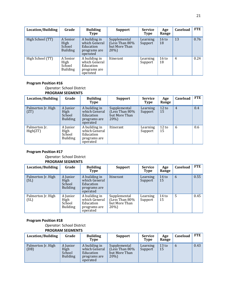| Location/Building | Grade                                         | <b>Building</b><br><b>Type</b>                                          | <b>Support</b>                                            | <b>Service</b><br><b>Type</b> | Age<br>Range           | Caseload       | FTE  |
|-------------------|-----------------------------------------------|-------------------------------------------------------------------------|-----------------------------------------------------------|-------------------------------|------------------------|----------------|------|
| High School (TT)  | A Senior<br>High<br>School<br><b>Building</b> | A building in<br>which General<br>Education<br>programs are<br>operated | Supplemental<br>(Less Than 80%<br>but More Than<br>$20\%$ | Learning<br>Support           | 16 <sub>to</sub><br>18 | 13             | 0.76 |
| High School (TT)  | A Senior<br>High<br>School<br><b>Building</b> | A building in<br>which General<br>Education<br>programs are<br>operated | Itinerant                                                 | Learning<br>Support           | $16 \text{ to}$<br>18  | $\overline{4}$ | 0.24 |

*Operator:* School District

#### **PROGRAM SEGMENTS**

| Location/Building          | Grade                                         | <b>Building</b><br>Type                                                 | <b>Support</b>                                            | <b>Service</b><br><b>Type</b> | Age<br>Range | <b>Caseload</b> | FTE |
|----------------------------|-----------------------------------------------|-------------------------------------------------------------------------|-----------------------------------------------------------|-------------------------------|--------------|-----------------|-----|
| Palmerton Jr. High<br>(TT) | A Junior<br>High<br>School<br><b>Building</b> | A building in<br>which General<br>Education<br>programs are<br>operated | Supplemental<br>(Less Than 80%<br>but More Than<br>$20\%$ | Learning<br>Support           | 12 to<br>15  | $\overline{4}$  | 0.4 |
| Palmerton Jr.<br>High(ZT)  | A Junior<br>High<br>School<br><b>Building</b> | A building in<br>which General<br>Education<br>programs are<br>operated | Itinerant                                                 | Learning<br>Support           | 12 to<br>15  | 6               | 0.6 |

#### **Program Position #17**

#### *Operator:* School District **PROGRAM SEGMENTS**

| Location/Building          | Grade                                         | <b>Building</b><br>Type                                                 | Support                                                 | <b>Service</b><br><b>Type</b> | Age<br>Range           | Caseload | <b>FTE</b> |
|----------------------------|-----------------------------------------------|-------------------------------------------------------------------------|---------------------------------------------------------|-------------------------------|------------------------|----------|------------|
| Palmerton Jr. High<br>(SL) | A Junior<br>High<br>School<br><b>Building</b> | A building in<br>which General<br>Education<br>programs are<br>operated | Itinerant                                               | Learning<br>Support           | 14 <sub>to</sub><br>15 | 6        | 0.55       |
| Palmerton Jr. High<br>(SL) | A Junior<br>High<br>School<br><b>Building</b> | A building in<br>which General<br>Education<br>programs are<br>operated | Supplemental<br>(Lèss Than 80%<br>but More Than<br>20%) | Learning<br>Support           | 14 <sub>to</sub><br>15 | 5        | 0.45       |

#### **Program Position #18**

*Operator:* School District **PROGRAM SEGMENTS**

| Location/Building          | Grade                                         | <b>Building</b><br><b>Type</b>                                          | <b>Support</b>                                           | <b>Service</b><br><b>Type</b> | Age<br>Range | Caseload      | <b>FTE</b> |
|----------------------------|-----------------------------------------------|-------------------------------------------------------------------------|----------------------------------------------------------|-------------------------------|--------------|---------------|------------|
| Palmerton Jr. High<br>(DB) | A Junior<br>High<br>School<br><b>Building</b> | A building in<br>which General<br>Education<br>programs are<br>operated | Supplemental<br>(Less Than 80%)<br>but More Than<br>20%) | Learning<br>Support           | 13 to<br>15  | $\mathfrak b$ | 0.43       |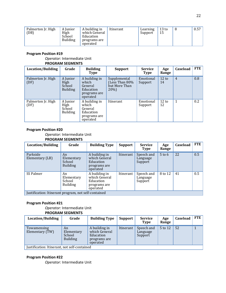| Palmerton Jr. High<br>A building in<br>A Junior<br>(DB)<br>High<br>which General<br>School<br>Education<br><b>Building</b><br>programs are<br>operated | Itinerant | Learning<br>Support | 13 <sub>to</sub><br>15 |  | 0.57 |
|--------------------------------------------------------------------------------------------------------------------------------------------------------|-----------|---------------------|------------------------|--|------|
|--------------------------------------------------------------------------------------------------------------------------------------------------------|-----------|---------------------|------------------------|--|------|

*Operator:* Intermediate Unit

#### **PROGRAM SEGMENTS**

| Location/Building          | Grade                                         | <b>Building</b><br>Type                                                    | <b>Support</b>                                            | <b>Service</b><br>Type | Age<br>Range          | Caseload       | <b>FTE</b> |
|----------------------------|-----------------------------------------------|----------------------------------------------------------------------------|-----------------------------------------------------------|------------------------|-----------------------|----------------|------------|
| Palmerton Jr. High<br>(DF) | A Junior<br>High<br>School<br><b>Building</b> | A building in<br>which<br>General<br>Education<br>programs are<br>operated | Supplemental<br>(Less Than 80%<br>but More Than<br>$20\%$ | Emotional<br>Support   | $12 \text{ to}$<br>14 | $\overline{4}$ | 0.8        |
| Palmerton Jr. High<br>(DF) | A Junior<br>High<br>School<br><b>Building</b> | A building in<br>which<br>General<br>Education<br>programs are<br>operated | Itinerant                                                 | Emotional<br>Support   | 12 to<br>12           | 1              | 0.2        |

#### **Program Position #20**

*Operator:* Intermediate Unit **PROGRAM SEGMENTS**

| Location/Building                                    | Grade                                         | <b>Building Type</b>                                                    | <b>Support</b> | <b>Service</b><br>Type            | Age<br>Range | Caseload | FTE |
|------------------------------------------------------|-----------------------------------------------|-------------------------------------------------------------------------|----------------|-----------------------------------|--------------|----------|-----|
| Parkside<br>Elementary (LB)                          | An<br>Elementary<br>School<br><b>Building</b> | A building in<br>which General<br>Education<br>programs are<br>operated | Itinerant      | Speech and<br>Language<br>Support | $5$ to 6     | 22       | 0.5 |
| SS Palmer                                            | An<br>Elementary<br>School<br><b>Building</b> | A building in<br>which General<br>Education<br>programs are<br>operated | Itinerant      | Speech and<br>Language<br>Support | 8 to 12      | 41       | 0.5 |
| Justification: Itinerant program, not self-contained |                                               |                                                                         |                |                                   |              |          |     |

#### **Program Position #21**

### *Operator:* Intermediate Unit

**PROGRAM SEGMENTS**

| Location/Building                            | Grade                                         | <b>Building Type</b>                                                    | Support   | <b>Service</b><br><b>Type</b>     | Age<br>Range | Caseload | FTE |
|----------------------------------------------|-----------------------------------------------|-------------------------------------------------------------------------|-----------|-----------------------------------|--------------|----------|-----|
| Towamensing<br>Elementary (TW)               | An<br>Elementary<br>School<br><b>Building</b> | A building in<br>which General<br>Education<br>programs are<br>operated | Itinerant | Speech and<br>Language<br>Support | 5 to 12      | 52       |     |
| Justification: Itinerant, not self-contained |                                               |                                                                         |           |                                   |              |          |     |

#### **Program Position #22**

*Operator:* Intermediate Unit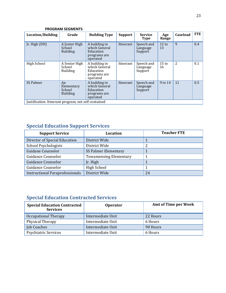|                                                      | <b>PROGRAM SEGMENTS</b>                       |                                                                         |                |                                   |                       |          |            |
|------------------------------------------------------|-----------------------------------------------|-------------------------------------------------------------------------|----------------|-----------------------------------|-----------------------|----------|------------|
| <b>Location/Building</b>                             | Grade                                         | <b>Building Type</b>                                                    | <b>Support</b> | <b>Service</b><br><b>Type</b>     | Age<br>Range          | Caseload | <b>FTE</b> |
| Jr. High $(DH)$                                      | A Junior High<br>School<br><b>Building</b>    | A building in<br>which General<br>Education<br>programs are<br>operated | Itinerant      | Speech and<br>Language<br>Support | $12 \text{ to}$<br>13 | 9        | 0.4        |
| High School                                          | A Senior High<br>School<br><b>Building</b>    | A building in<br>which General<br>Education<br>programs are<br>operated | Itinerant      | Speech and<br>Language<br>Support | $15 \text{ to}$<br>16 | 2        | 0.1        |
| SS Palmer                                            | An<br>Elementary<br>School<br><b>Building</b> | A building in<br>which General<br>Education<br>programs are<br>operated | Itinerant      | Speech and<br>Language<br>Support | 9 to 14               | 11       | 0.5        |
| Justification: Itinerant program, not self contained |                                               |                                                                         |                |                                   |                       |          |            |

## **Special Education Support Services**

| <b>Support Service</b>                 | Location                      | <b>Teacher FTE</b> |
|----------------------------------------|-------------------------------|--------------------|
| Director of Special Education          | District Wide                 |                    |
| <b>School Psychologists</b>            | District Wide                 |                    |
| Guidane Counselor                      | SS Palmer Elementary          |                    |
| Guidance Counselor                     | <b>Towamensing Elementary</b> |                    |
| Guidance Counselor                     | Jr. High                      |                    |
| Guidance Counselor                     | <b>High School</b>            |                    |
| <b>Instructional Paraprofessionals</b> | District Wide                 | 24                 |

## **Special Education Contracted Services**

| <b>Special Education Contracted</b><br><b>Services</b> | <b>Operator</b>   | <b>Amt of Time per Week</b> |
|--------------------------------------------------------|-------------------|-----------------------------|
| Occupational Therapy                                   | Intermediate Unit | 22 Hours                    |
| <b>Physical Therapy</b>                                | Intermediate Unit | 6 Hours                     |
| Job Coaches                                            | Intermediate Unit | 90 Hours                    |
| <b>Psychiatric Services</b>                            | Intermediate Unit | 6 Hours                     |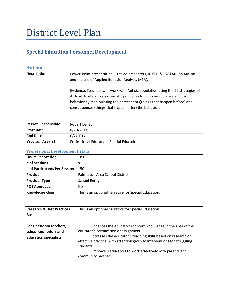## District Level Plan

## **Special Education Personnel Development**

#### **Autism**

| <b>Description</b>        | Power-Point presentation, Outside presenters, IU#21, & PATTAN on Autism<br>and the use of Applied Behavior Analysis (ABA).<br>Evidence: Teachesr will work with Autisic population using the 26 strategies of<br>ABA. ABA refers to a systematic principles to improve socially significant<br>behavior by manipulating the antecedents (things that happen before) and<br>consequences (things that happen after) the behavior. |
|---------------------------|----------------------------------------------------------------------------------------------------------------------------------------------------------------------------------------------------------------------------------------------------------------------------------------------------------------------------------------------------------------------------------------------------------------------------------|
| <b>Person Responsible</b> | <b>Robert Dailey</b>                                                                                                                                                                                                                                                                                                                                                                                                             |
| <b>Start Date</b>         | 8/20/2014                                                                                                                                                                                                                                                                                                                                                                                                                        |
| <b>End Date</b>           | 6/2/2017                                                                                                                                                                                                                                                                                                                                                                                                                         |
| Program Area(s)           | Professional Education, Special Education                                                                                                                                                                                                                                                                                                                                                                                        |

| <b>Hours Per Session</b>             | 18.0                                                                     |
|--------------------------------------|--------------------------------------------------------------------------|
| # of Sessions                        | 9                                                                        |
| # of Participants Per Session        | 150                                                                      |
| <b>Provider</b>                      | Palmerton Area School District                                           |
| <b>Provider Type</b>                 | <b>School Entity</b>                                                     |
| <b>PDE Approved</b>                  | No.                                                                      |
| <b>Knowledge Gain</b>                | This is an optional narrative for Special Education.                     |
|                                      |                                                                          |
| <b>Research &amp; Best Practices</b> | This is an optional narrative for Special Education.                     |
| <b>Base</b>                          |                                                                          |
|                                      |                                                                          |
| For classroom teachers,              | Enhances the educator's content knowledge in the area of the             |
| school counselors and                | educator's certification or assignment.                                  |
| education specialists                | Increases the educator's teaching skills based on research on            |
|                                      | effective practice, with attention given to interventions for struggling |
|                                      | students.                                                                |
|                                      | Empowers educators to work effectively with parents and                  |
|                                      | community partners.                                                      |
|                                      |                                                                          |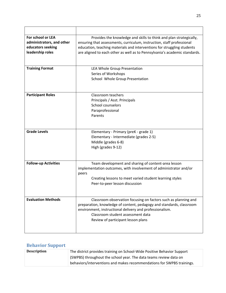| For school or LEA           | Provides the knowledge and skills to think and plan strategically,                            |
|-----------------------------|-----------------------------------------------------------------------------------------------|
| administrators, and other   | ensuring that assessments, curriculum, instruction, staff professional                        |
| educators seeking           | education, teaching materials and interventions for struggling students                       |
| leadership roles            | are aligned to each other as well as to Pennsylvania's academic standards.                    |
|                             |                                                                                               |
|                             |                                                                                               |
| <b>Training Format</b>      | LEA Whole Group Presentation                                                                  |
|                             | Series of Workshops                                                                           |
|                             | School Whole Group Presentation                                                               |
|                             |                                                                                               |
|                             |                                                                                               |
| <b>Participant Roles</b>    | Classroom teachers                                                                            |
|                             | Principals / Asst. Principals                                                                 |
|                             | School counselors                                                                             |
|                             | Paraprofessional                                                                              |
|                             | Parents                                                                                       |
|                             |                                                                                               |
|                             |                                                                                               |
| <b>Grade Levels</b>         | Elementary - Primary (preK - grade 1)                                                         |
|                             | Elementary - Intermediate (grades 2-5)                                                        |
|                             | Middle (grades 6-8)                                                                           |
|                             | High (grades 9-12)                                                                            |
|                             |                                                                                               |
|                             |                                                                                               |
| <b>Follow-up Activities</b> | Team development and sharing of content-area lesson                                           |
|                             | implementation outcomes, with involvement of administrator and/or                             |
|                             | peers                                                                                         |
|                             | Creating lessons to meet varied student learning styles                                       |
|                             | Peer-to-peer lesson discussion                                                                |
|                             |                                                                                               |
|                             |                                                                                               |
| <b>Evaluation Methods</b>   | Classroom observation focusing on factors such as planning and                                |
|                             | preparation, knowledge of content, pedagogy and standards, classroom                          |
|                             | environment, instructional delivery and professionalism.<br>Classroom student assessment data |
|                             |                                                                                               |
|                             | Review of participant lesson plans                                                            |
|                             |                                                                                               |
|                             |                                                                                               |

## **Behavior Support**

| <b>Description</b> | The district provides training on School-Wide Positive Behavior Support |
|--------------------|-------------------------------------------------------------------------|
|                    | (SWPBS) throughout the school year. The data teams review data on       |
|                    | behaviors/interventions and makes recommendations for SWPBS trainings.  |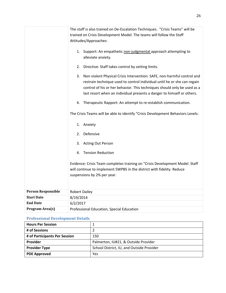|                           | The staff is also trained on De-Escalation Techniques. "Crisis Teams" will be   |
|---------------------------|---------------------------------------------------------------------------------|
|                           | trained on Crisis Development Model. The teams will follow the Staff            |
|                           | Attitudes/Approaches:                                                           |
|                           |                                                                                 |
|                           | 1. Support: An empathetic non-judgmental approach attempting to                 |
|                           | alleviate anxiety.                                                              |
|                           |                                                                                 |
|                           | Directive: Staff takes control by setting limits.<br>2.                         |
|                           | Non violent Physical Crisis Intervention: SAFE, non-harmful control and<br>3.   |
|                           | restrain technique used to control individual until he or she can regain        |
|                           | control of his or her behavior. This techniques should only be used as a        |
|                           | last resort when an individual presents a danger to himself or others.          |
|                           |                                                                                 |
|                           | Therapeutic Rapport: An attempt to re-establish communication.<br>4.            |
|                           |                                                                                 |
|                           | The Crisis Teams will be able to identify "Crisis Development Behaviors Levels: |
|                           |                                                                                 |
|                           | Anxiety<br>1.                                                                   |
|                           | Defensive<br>2.                                                                 |
|                           |                                                                                 |
|                           | 3.<br><b>Acting Out Person</b>                                                  |
|                           | <b>Tension Reduction</b><br>4.                                                  |
|                           |                                                                                 |
|                           | Evidence: Crisis Team completes training on "Crisis Development Model. Staff    |
|                           | will continue to implement SWPBS in the district with fidelity. Reduce          |
|                           | suspensions by 2% per year.                                                     |
|                           |                                                                                 |
|                           |                                                                                 |
| <b>Person Responsible</b> | <b>Robert Dailey</b>                                                            |
| <b>Start Date</b>         | 8/19/2014                                                                       |
| <b>End Date</b>           | 6/2/2017                                                                        |
| Program Area(s)           | Professional Education, Special Education                                       |

| <b>Hours Per Session</b>      |                                           |
|-------------------------------|-------------------------------------------|
| # of Sessions                 |                                           |
| # of Participants Per Session | 150                                       |
| Provider                      | Palmerton, IU#21, & Outside Provider      |
| <b>Provider Type</b>          | School District, IU, and Outside Provider |
| <b>PDE Approved</b>           | Yes                                       |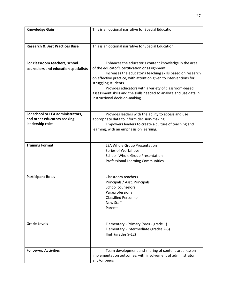| <b>Knowledge Gain</b>                           | This is an optional narrative for Special Education.                                                |
|-------------------------------------------------|-----------------------------------------------------------------------------------------------------|
|                                                 |                                                                                                     |
|                                                 |                                                                                                     |
| <b>Research &amp; Best Practices Base</b>       | This is an optional narrative for Special Education.                                                |
|                                                 |                                                                                                     |
|                                                 |                                                                                                     |
| For classroom teachers, school                  | Enhances the educator's content knowledge in the area                                               |
| counselors and education specialists            | of the educator's certification or assignment.                                                      |
|                                                 | Increases the educator's teaching skills based on research                                          |
|                                                 | on effective practice, with attention given to interventions for                                    |
|                                                 | struggling students.                                                                                |
|                                                 | Provides educators with a variety of classroom-based                                                |
|                                                 | assessment skills and the skills needed to analyze and use data in                                  |
|                                                 | instructional decision-making.                                                                      |
|                                                 |                                                                                                     |
|                                                 |                                                                                                     |
| For school or LEA administrators,               | Provides leaders with the ability to access and use                                                 |
| and other educators seeking<br>leadership roles | appropriate data to inform decision-making.<br>Empowers leaders to create a culture of teaching and |
|                                                 | learning, with an emphasis on learning.                                                             |
|                                                 |                                                                                                     |
|                                                 |                                                                                                     |
| <b>Training Format</b>                          | LEA Whole Group Presentation                                                                        |
|                                                 | Series of Workshops                                                                                 |
|                                                 | School Whole Group Presentation                                                                     |
|                                                 | <b>Professional Learning Communities</b>                                                            |
|                                                 |                                                                                                     |
|                                                 |                                                                                                     |
| <b>Participant Roles</b>                        | Classroom teachers                                                                                  |
|                                                 | Principals / Asst. Principals                                                                       |
|                                                 | School counselors                                                                                   |
|                                                 | Paraprofessional                                                                                    |
|                                                 | <b>Classified Personnel</b>                                                                         |
|                                                 | New Staff                                                                                           |
|                                                 | Parents                                                                                             |
|                                                 |                                                                                                     |
|                                                 |                                                                                                     |
| <b>Grade Levels</b>                             | Elementary - Primary (preK - grade 1)                                                               |
|                                                 | Elementary - Intermediate (grades 2-5)                                                              |
|                                                 | High (grades 9-12)                                                                                  |
|                                                 |                                                                                                     |
| <b>Follow-up Activities</b>                     | Team development and sharing of content-area lesson                                                 |
|                                                 | implementation outcomes, with involvement of administrator                                          |
|                                                 | and/or peers                                                                                        |
|                                                 |                                                                                                     |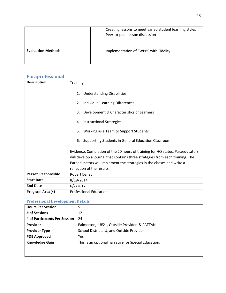|                           | Creating lessons to meet varied student learning styles<br>Peer-to-peer lesson discussion |
|---------------------------|-------------------------------------------------------------------------------------------|
| <b>Evaluation Methods</b> | Implementation of SWPBS with Fidelity                                                     |

#### **Paraprofessional**

| <b>Description</b>        | Training:                                                                                                                                                                                                                                                              |
|---------------------------|------------------------------------------------------------------------------------------------------------------------------------------------------------------------------------------------------------------------------------------------------------------------|
|                           | <b>Understanding Disabilities</b><br>1.                                                                                                                                                                                                                                |
|                           | Individual Learning Differences<br>2.                                                                                                                                                                                                                                  |
|                           | Development & Characteristics of Learners<br>3.                                                                                                                                                                                                                        |
|                           | <b>Instructional Strategies</b><br>4.                                                                                                                                                                                                                                  |
|                           | Working as a Team to Support Students<br>5.                                                                                                                                                                                                                            |
|                           | Supporting Students in General Education Classroom<br>6.                                                                                                                                                                                                               |
|                           | Evidence: Completion of the 20 hours of training for HQ status. Paraeducators<br>will develop a journal that contains three strategies from each training. The<br>Paraeducators will implement the strategies in the classes and write a<br>reflection of the results. |
| <b>Person Responsible</b> | <b>Robert Dailey</b>                                                                                                                                                                                                                                                   |
| <b>Start Date</b>         | 8/19/2014                                                                                                                                                                                                                                                              |
| <b>End Date</b>           | 6/2/2017                                                                                                                                                                                                                                                               |
| Program Area(s)           | <b>Professional Education</b>                                                                                                                                                                                                                                          |

| <b>Hours Per Session</b>      | 5                                                    |
|-------------------------------|------------------------------------------------------|
| # of Sessions                 | 12                                                   |
| # of Participants Per Session | 24                                                   |
| Provider                      | Palmerton, IU#21, Outside Provider, & PATTAN         |
| <b>Provider Type</b>          | School District, IU, and Outside Provider            |
| <b>PDE Approved</b>           | Yes                                                  |
| <b>Knowledge Gain</b>         | This is an optional narrative for Special Education. |
|                               |                                                      |
|                               |                                                      |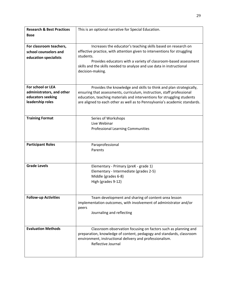| <b>Research &amp; Best Practices</b> | This is an optional narrative for Special Education.                       |
|--------------------------------------|----------------------------------------------------------------------------|
| <b>Base</b>                          |                                                                            |
|                                      |                                                                            |
| For classroom teachers,              | Increases the educator's teaching skills based on research on              |
| school counselors and                | effective practice, with attention given to interventions for struggling   |
| education specialists                | students.                                                                  |
|                                      | Provides educators with a variety of classroom-based assessment            |
|                                      | skills and the skills needed to analyze and use data in instructional      |
|                                      | decision-making.                                                           |
|                                      |                                                                            |
|                                      |                                                                            |
| For school or LEA                    | Provides the knowledge and skills to think and plan strategically,         |
| administrators, and other            | ensuring that assessments, curriculum, instruction, staff professional     |
| educators seeking                    | education, teaching materials and interventions for struggling students    |
| leadership roles                     | are aligned to each other as well as to Pennsylvania's academic standards. |
|                                      |                                                                            |
|                                      |                                                                            |
| <b>Training Format</b>               | Series of Workshops                                                        |
|                                      | Live Webinar                                                               |
|                                      | <b>Professional Learning Communities</b>                                   |
|                                      |                                                                            |
|                                      |                                                                            |
| <b>Participant Roles</b>             | Paraprofessional                                                           |
|                                      | Parents                                                                    |
|                                      |                                                                            |
| <b>Grade Levels</b>                  | Elementary - Primary (preK - grade 1)                                      |
|                                      | Elementary - Intermediate (grades 2-5)                                     |
|                                      | Middle (grades 6-8)                                                        |
|                                      | High (grades 9-12)                                                         |
|                                      |                                                                            |
|                                      |                                                                            |
| <b>Follow-up Activities</b>          | Team development and sharing of content-area lesson                        |
|                                      | implementation outcomes, with involvement of administrator and/or          |
|                                      | peers                                                                      |
|                                      | Journaling and reflecting                                                  |
|                                      |                                                                            |
|                                      |                                                                            |
| <b>Evaluation Methods</b>            | Classroom observation focusing on factors such as planning and             |
|                                      | preparation, knowledge of content, pedagogy and standards, classroom       |
|                                      | environment, instructional delivery and professionalism.                   |
|                                      | Reflective Journal                                                         |
|                                      |                                                                            |
|                                      |                                                                            |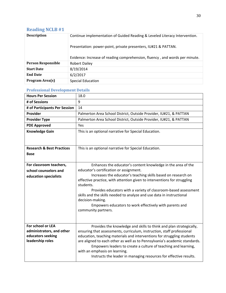## **Reading NCLB #1**

| <b>Description</b>        | Continue implementation of Guided Reading & Leveled Literacy Intervention.<br>Presentation: power-point, private presenters, IU#21 & PATTAN.<br>Evidence: Increase of reading comprehension, fluency, and words per minute. |
|---------------------------|-----------------------------------------------------------------------------------------------------------------------------------------------------------------------------------------------------------------------------|
| <b>Person Responsible</b> | <b>Robert Dailey</b>                                                                                                                                                                                                        |
| <b>Start Date</b>         | 8/19/2014                                                                                                                                                                                                                   |
| <b>End Date</b>           | 6/2/2017                                                                                                                                                                                                                    |
| Program Area(s)           | Special Education                                                                                                                                                                                                           |

| <b>Hours Per Session</b>              | 18.0                                                                                                                                                  |
|---------------------------------------|-------------------------------------------------------------------------------------------------------------------------------------------------------|
| # of Sessions                         | 9                                                                                                                                                     |
| # of Participants Per Session         | 14                                                                                                                                                    |
| Provider                              | Palmerton Area School District, Outside Provider, IU#21, & PATTAN                                                                                     |
| <b>Provider Type</b>                  | Palmerton Area School District, Outside Provider, IU#21, & PATTAN                                                                                     |
| <b>PDE Approved</b>                   | Yes                                                                                                                                                   |
| <b>Knowledge Gain</b>                 | This is an optional narrative for Special Education.                                                                                                  |
|                                       |                                                                                                                                                       |
| <b>Research &amp; Best Practices</b>  | This is an optional narrative for Special Education.                                                                                                  |
| Base                                  |                                                                                                                                                       |
|                                       |                                                                                                                                                       |
| For classroom teachers,               | Enhances the educator's content knowledge in the area of the                                                                                          |
| school counselors and                 | educator's certification or assignment.                                                                                                               |
| education specialists                 | Increases the educator's teaching skills based on research on<br>effective practice, with attention given to interventions for struggling             |
|                                       | students.                                                                                                                                             |
|                                       | Provides educators with a variety of classroom-based assessment                                                                                       |
|                                       | skills and the skills needed to analyze and use data in instructional<br>decision-making.                                                             |
|                                       | Empowers educators to work effectively with parents and                                                                                               |
|                                       | community partners.                                                                                                                                   |
|                                       |                                                                                                                                                       |
|                                       |                                                                                                                                                       |
| For school or LEA                     | Provides the knowledge and skills to think and plan strategically,                                                                                    |
| administrators, and other             | ensuring that assessments, curriculum, instruction, staff professional                                                                                |
| educators seeking<br>leadership roles | education, teaching materials and interventions for struggling students<br>are aligned to each other as well as to Pennsylvania's academic standards. |
|                                       | Empowers leaders to create a culture of teaching and learning,                                                                                        |
|                                       | with an emphasis on learning.                                                                                                                         |
|                                       | Instructs the leader in managing resources for effective results.                                                                                     |
|                                       |                                                                                                                                                       |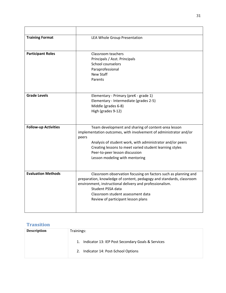| <b>Training Format</b>      | LEA Whole Group Presentation                                                                                                                                                                                                                                                                                                  |
|-----------------------------|-------------------------------------------------------------------------------------------------------------------------------------------------------------------------------------------------------------------------------------------------------------------------------------------------------------------------------|
| <b>Participant Roles</b>    | Classroom teachers<br>Principals / Asst. Principals<br>School counselors<br>Paraprofessional<br>New Staff<br>Parents                                                                                                                                                                                                          |
| <b>Grade Levels</b>         | Elementary - Primary (preK - grade 1)<br>Elementary - Intermediate (grades 2-5)<br>Middle (grades 6-8)<br>High (grades 9-12)                                                                                                                                                                                                  |
| <b>Follow-up Activities</b> | Team development and sharing of content-area lesson<br>implementation outcomes, with involvement of administrator and/or<br>peers<br>Analysis of student work, with administrator and/or peers<br>Creating lessons to meet varied student learning styles<br>Peer-to-peer lesson discussion<br>Lesson modeling with mentoring |
| <b>Evaluation Methods</b>   | Classroom observation focusing on factors such as planning and<br>preparation, knowledge of content, pedagogy and standards, classroom<br>environment, instructional delivery and professionalism.<br>Student PSSA data<br>Classroom student assessment data<br>Review of participant lesson plans                            |

## **Transition**

| <b>Description</b> | Trainings:                                                                                         |
|--------------------|----------------------------------------------------------------------------------------------------|
|                    | Indicator 13: IEP Post Secondary Goals & Services<br>1.<br>Indicator 14: Post-School Options<br>2. |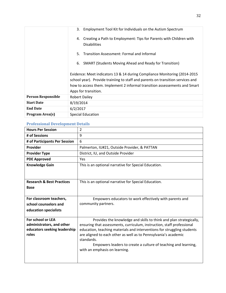|                           | Employment Tool Kit for Individuals on the Autism Spectrum<br>3.                                                                                                                                                                                                    |
|---------------------------|---------------------------------------------------------------------------------------------------------------------------------------------------------------------------------------------------------------------------------------------------------------------|
|                           | Creating a Path to Employment: Tips for Parents with Children with<br>4.<br><b>Disabilities</b>                                                                                                                                                                     |
|                           | Transition Assessment: Formal and Informal<br>5.                                                                                                                                                                                                                    |
|                           | <b>SMART (Students Moving Ahead and Ready for Transition)</b><br>6.                                                                                                                                                                                                 |
|                           | Evidence: Meet indicators 13 & 14 during Compliance Monitoring (2014-2015)<br>school year). Provide trainiing to staff and parents on transition services and<br>how to access them. Implement 2 informal transition assessements and Smart<br>Apps for transition. |
| <b>Person Responsible</b> | <b>Robert Dailey</b>                                                                                                                                                                                                                                                |
| <b>Start Date</b>         | 8/19/2014                                                                                                                                                                                                                                                           |
| <b>End Date</b>           | 6/2/2017                                                                                                                                                                                                                                                            |
| Program Area(s)           | <b>Special Education</b>                                                                                                                                                                                                                                            |

| <b>Hours Per Session</b>                                  | $\overline{2}$                                                                                                                                    |
|-----------------------------------------------------------|---------------------------------------------------------------------------------------------------------------------------------------------------|
| # of Sessions                                             | 9                                                                                                                                                 |
| # of Participants Per Session                             | 6                                                                                                                                                 |
| Provider                                                  | Palmerton, IU#21, Outside Provider, & PATTAN                                                                                                      |
| <b>Provider Type</b>                                      | District, IU, and Outside Provider                                                                                                                |
| <b>PDE Approved</b>                                       | <b>Yes</b>                                                                                                                                        |
| <b>Knowledge Gain</b>                                     | This is an optional narrative for Special Education.                                                                                              |
|                                                           |                                                                                                                                                   |
| <b>Research &amp; Best Practices</b>                      | This is an optional narrative for Special Education.                                                                                              |
| <b>Base</b>                                               |                                                                                                                                                   |
|                                                           |                                                                                                                                                   |
| For classroom teachers,                                   | Empowers educators to work effectively with parents and                                                                                           |
| school counselors and                                     | community partners.                                                                                                                               |
| education specialists                                     |                                                                                                                                                   |
|                                                           |                                                                                                                                                   |
| For school or LEA                                         | Provides the knowledge and skills to think and plan strategically,                                                                                |
| administrators, and other<br>educators seeking leadership | ensuring that assessments, curriculum, instruction, staff professional<br>education, teaching materials and interventions for struggling students |
| roles                                                     | are aligned to each other as well as to Pennsylvania's academic                                                                                   |
|                                                           | standards.                                                                                                                                        |
|                                                           | Empowers leaders to create a culture of teaching and learning,                                                                                    |
|                                                           | with an emphasis on learning.                                                                                                                     |
|                                                           |                                                                                                                                                   |
|                                                           |                                                                                                                                                   |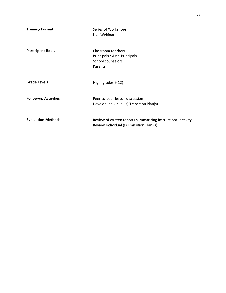| <b>Training Format</b>      | Series of Workshops                                          |
|-----------------------------|--------------------------------------------------------------|
|                             | Live Webinar                                                 |
|                             |                                                              |
|                             |                                                              |
| <b>Participant Roles</b>    | Classroom teachers                                           |
|                             | Principals / Asst. Principals                                |
|                             | School counselors                                            |
|                             | Parents                                                      |
|                             |                                                              |
|                             |                                                              |
| <b>Grade Levels</b>         | High (grades 9-12)                                           |
|                             |                                                              |
|                             |                                                              |
| <b>Follow-up Activities</b> | Peer-to-peer lesson discussion                               |
|                             | Develop Individual (s) Transition Plan(s)                    |
|                             |                                                              |
|                             |                                                              |
| <b>Evaluation Methods</b>   | Review of written reports summarizing instructional activity |
|                             | Review Individual (s) Transition Plan (s)                    |
|                             |                                                              |
|                             |                                                              |